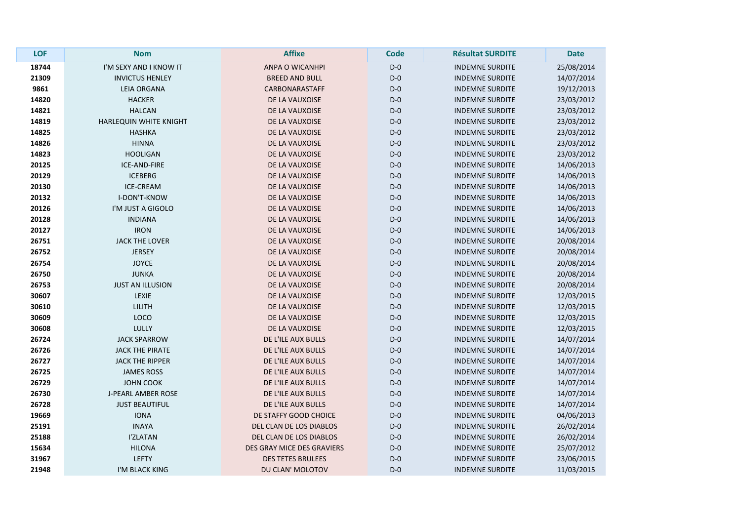| <b>LOF</b> | <b>Nom</b>                | <b>Affixe</b>              | <b>Code</b> | <b>Résultat SURDITE</b> | <b>Date</b> |
|------------|---------------------------|----------------------------|-------------|-------------------------|-------------|
| 18744      | I'M SEXY AND I KNOW IT    | ANPA O WICANHPI            | $D-0$       | <b>INDEMNE SURDITE</b>  | 25/08/2014  |
| 21309      | <b>INVICTUS HENLEY</b>    | <b>BREED AND BULL</b>      | $D-0$       | <b>INDEMNE SURDITE</b>  | 14/07/2014  |
| 9861       | <b>LEIA ORGANA</b>        | CARBONARASTAFF             | $D-0$       | <b>INDEMNE SURDITE</b>  | 19/12/2013  |
| 14820      | <b>HACKER</b>             | DE LA VAUXOISE             | $D-0$       | <b>INDEMNE SURDITE</b>  | 23/03/2012  |
| 14821      | <b>HALCAN</b>             | DE LA VAUXOISE             | $D-0$       | <b>INDEMNE SURDITE</b>  | 23/03/2012  |
| 14819      | HARLEQUIN WHITE KNIGHT    | DE LA VAUXOISE             | $D-0$       | <b>INDEMNE SURDITE</b>  | 23/03/2012  |
| 14825      | <b>HASHKA</b>             | DE LA VAUXOISE             | $D-0$       | <b>INDEMNE SURDITE</b>  | 23/03/2012  |
| 14826      | <b>HINNA</b>              | DE LA VAUXOISE             | $D-0$       | <b>INDEMNE SURDITE</b>  | 23/03/2012  |
| 14823      | <b>HOOLIGAN</b>           | DE LA VAUXOISE             | $D-0$       | <b>INDEMNE SURDITE</b>  | 23/03/2012  |
| 20125      | ICE-AND-FIRE              | DE LA VAUXOISE             | $D-0$       | <b>INDEMNE SURDITE</b>  | 14/06/2013  |
| 20129      | <b>ICEBERG</b>            | DE LA VAUXOISE             | $D-0$       | <b>INDEMNE SURDITE</b>  | 14/06/2013  |
| 20130      | <b>ICE-CREAM</b>          | DE LA VAUXOISE             | $D-0$       | <b>INDEMNE SURDITE</b>  | 14/06/2013  |
| 20132      | I-DON'T-KNOW              | DE LA VAUXOISE             | $D-0$       | <b>INDEMNE SURDITE</b>  | 14/06/2013  |
| 20126      | I'M JUST A GIGOLO         | DE LA VAUXOISE             | $D-0$       | <b>INDEMNE SURDITE</b>  | 14/06/2013  |
| 20128      | <b>INDIANA</b>            | DE LA VAUXOISE             | $D-0$       | <b>INDEMNE SURDITE</b>  | 14/06/2013  |
| 20127      | <b>IRON</b>               | DE LA VAUXOISE             | $D-0$       | <b>INDEMNE SURDITE</b>  | 14/06/2013  |
| 26751      | <b>JACK THE LOVER</b>     | DE LA VAUXOISE             | $D-0$       | <b>INDEMNE SURDITE</b>  | 20/08/2014  |
| 26752      | <b>JERSEY</b>             | DE LA VAUXOISE             | $D-0$       | <b>INDEMNE SURDITE</b>  | 20/08/2014  |
| 26754      | <b>JOYCE</b>              | DE LA VAUXOISE             | $D-0$       | <b>INDEMNE SURDITE</b>  | 20/08/2014  |
| 26750      | <b>JUNKA</b>              | DE LA VAUXOISE             | $D-0$       | <b>INDEMNE SURDITE</b>  | 20/08/2014  |
| 26753      | <b>JUST AN ILLUSION</b>   | DE LA VAUXOISE             | $D-0$       | <b>INDEMNE SURDITE</b>  | 20/08/2014  |
| 30607      | <b>LEXIE</b>              | DE LA VAUXOISE             | $D-0$       | <b>INDEMNE SURDITE</b>  | 12/03/2015  |
| 30610      | <b>LILITH</b>             | DE LA VAUXOISE             | $D-0$       | <b>INDEMNE SURDITE</b>  | 12/03/2015  |
| 30609      | LOCO                      | DE LA VAUXOISE             | $D-0$       | <b>INDEMNE SURDITE</b>  | 12/03/2015  |
| 30608      | <b>LULLY</b>              | DE LA VAUXOISE             | $D-0$       | <b>INDEMNE SURDITE</b>  | 12/03/2015  |
| 26724      | <b>JACK SPARROW</b>       | DE L'ILE AUX BULLS         | $D-0$       | <b>INDEMNE SURDITE</b>  | 14/07/2014  |
| 26726      | <b>JACK THE PIRATE</b>    | DE L'ILE AUX BULLS         | $D-0$       | <b>INDEMNE SURDITE</b>  | 14/07/2014  |
| 26727      | <b>JACK THE RIPPER</b>    | DE L'ILE AUX BULLS         | $D-0$       | <b>INDEMNE SURDITE</b>  | 14/07/2014  |
| 26725      | <b>JAMES ROSS</b>         | DE L'ILE AUX BULLS         | $D-0$       | <b>INDEMNE SURDITE</b>  | 14/07/2014  |
| 26729      | <b>JOHN COOK</b>          | DE L'ILE AUX BULLS         | $D-0$       | <b>INDEMNE SURDITE</b>  | 14/07/2014  |
| 26730      | <b>J-PEARL AMBER ROSE</b> | DE L'ILE AUX BULLS         | $D-0$       | <b>INDEMNE SURDITE</b>  | 14/07/2014  |
| 26728      | <b>JUST BEAUTIFUL</b>     | DE L'ILE AUX BULLS         | $D-0$       | <b>INDEMNE SURDITE</b>  | 14/07/2014  |
| 19669      | <b>IONA</b>               | DE STAFFY GOOD CHOICE      | $D-0$       | <b>INDEMNE SURDITE</b>  | 04/06/2013  |
| 25191      | <b>INAYA</b>              | DEL CLAN DE LOS DIABLOS    | $D-0$       | <b>INDEMNE SURDITE</b>  | 26/02/2014  |
| 25188      | <b>I'ZLATAN</b>           | DEL CLAN DE LOS DIABLOS    | $D-0$       | <b>INDEMNE SURDITE</b>  | 26/02/2014  |
| 15634      | <b>HILONA</b>             | DES GRAY MICE DES GRAVIERS | $D-0$       | <b>INDEMNE SURDITE</b>  | 25/07/2012  |
| 31967      | <b>LEFTY</b>              | <b>DES TETES BRULEES</b>   | $D-0$       | <b>INDEMNE SURDITE</b>  | 23/06/2015  |
| 21948      | I'M BLACK KING            | DU CLAN' MOLOTOV           | $D-0$       | <b>INDEMNE SURDITE</b>  | 11/03/2015  |